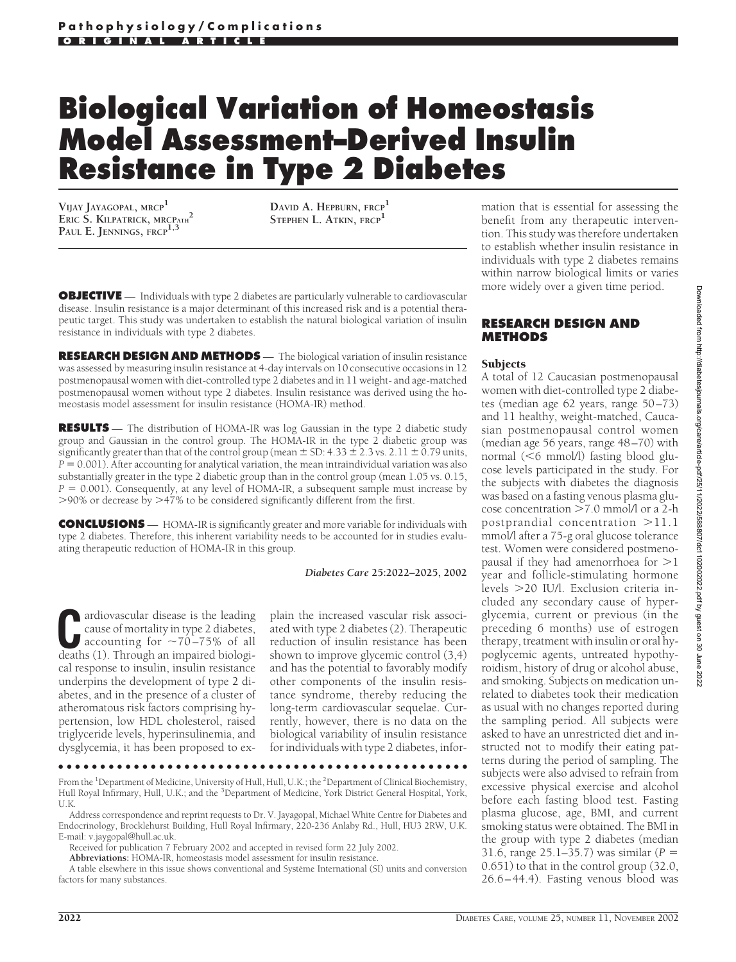# **Biological Variation of Homeostasis Model Assessment–Derived Insulin Resistance in Type 2 Diabetes**

**VIJAY JAYAGOPAL, MRCP<sup>1</sup> ERIC S. KILPATRICK, MRCPATH<sup>2</sup> PAUL E. JENNINGS, FRCP1,3**

**DAVID A. HEPBURN, FRCP<sup>1</sup> STEPHEN L. ATKIN, FRCP<sup>1</sup>**

**OBJECTIVE** — Individuals with type 2 diabetes are particularly vulnerable to cardiovascular disease. Insulin resistance is a major determinant of this increased risk and is a potential therapeutic target. This study was undertaken to establish the natural biological variation of insulin resistance in individuals with type 2 diabetes.

**RESEARCH DESIGN AND METHODS** — The biological variation of insulin resistance was assessed by measuring insulin resistance at 4-day intervals on 10 consecutive occasions in 12 postmenopausal women with diet-controlled type 2 diabetes and in 11 weight- and age-matched postmenopausal women without type 2 diabetes. Insulin resistance was derived using the homeostasis model assessment for insulin resistance (HOMA-IR) method.

**RESULTS** — The distribution of HOMA-IR was log Gaussian in the type 2 diabetic study group and Gaussian in the control group. The HOMA-IR in the type 2 diabetic group was significantly greater than that of the control group (mean  $\pm$  SD: 4.33  $\pm$  2.3 vs. 2.11  $\pm$  0.79 units,  $P = 0.001$ ). After accounting for analytical variation, the mean intraindividual variation was also substantially greater in the type 2 diabetic group than in the control group (mean 1.05 vs. 0.15,  $P = 0.001$ ). Consequently, at any level of HOMA-IR, a subsequent sample must increase by  $>$ 90% or decrease by  $>$ 47% to be considered significantly different from the first.

**CONCLUSIONS** — HOMA-IR is significantly greater and more variable for individuals with type 2 diabetes. Therefore, this inherent variability needs to be accounted for in studies evaluating therapeutic reduction of HOMA-IR in this group.

### *Diabetes Care* **25:2022–2025, 2002**

**C**ardiovascular disease is the leading<br>cause of mortality in type 2 diabetes,<br>accounting for  $\sim$ 70–75% of all<br>deaths (1) Through an impaired biologicause of mortality in type 2 diabetes, deaths (1). Through an impaired biological response to insulin, insulin resistance underpins the development of type 2 diabetes, and in the presence of a cluster of atheromatous risk factors comprising hypertension, low HDL cholesterol, raised triglyceride levels, hyperinsulinemia, and dysglycemia, it has been proposed to ex-

plain the increased vascular risk associated with type 2 diabetes (2). Therapeutic reduction of insulin resistance has been shown to improve glycemic control (3,4) and has the potential to favorably modify other components of the insulin resistance syndrome, thereby reducing the long-term cardiovascular sequelae. Currently, however, there is no data on the biological variability of insulin resistance for individuals with type 2 diabetes, infor-

●●●●●●●●●●●●●●●●●●●●●●●●●●●●●●●●●●●●●●●●●●●●●●●●●

From the <sup>1</sup>Department of Medicine, University of Hull, Hull, U.K.; the <sup>2</sup>Department of Clinical Biochemistry, Hull Royal Infirmary, Hull, U.K.; and the <sup>3</sup>Department of Medicine, York District General Hospital, York, U.K.

Address correspondence and reprint requests to Dr. V. Jayagopal, Michael White Centre for Diabetes and Endocrinology, Brocklehurst Building, Hull Royal Infirmary, 220-236 Anlaby Rd., Hull, HU3 2RW, U.K. E-mail: v.jaygopal@hull.ac.uk.

Received for publication 7 February 2002 and accepted in revised form 22 July 2002.

**Abbreviations:** HOMA-IR, homeostasis model assessment for insulin resistance.

A table elsewhere in this issue shows conventional and Système International (SI) units and conversion factors for many substances.

mation that is essential for assessing the benefit from any therapeutic intervention. This study was therefore undertaken to establish whether insulin resistance in individuals with type 2 diabetes remains within narrow biological limits or varies more widely over a given time period.

# **RESEARCH DESIGN AND METHODS**

## **Subjects**

A total of 12 Caucasian postmenopausal women with diet-controlled type 2 diabetes (median age 62 years, range 50–73) and 11 healthy, weight-matched, Caucasian postmenopausal control women (median age 56 years, range 48–70) with normal (<6 mmol/l) fasting blood glucose levels participated in the study. For the subjects with diabetes the diagnosis was based on a fasting venous plasma glucose concentration  $>7.0$  mmol/l or a 2-h postprandial concentration  $>11.1$ mmol/l after a 75-g oral glucose tolerance test. Women were considered postmenopausal if they had amenorrhoea for  $>$ 1 year and follicle-stimulating hormone levels 20 IU/l. Exclusion criteria included any secondary cause of hyperglycemia, current or previous (in the preceding 6 months) use of estrogen therapy, treatment with insulin or oral hypoglycemic agents, untreated hypothyroidism, history of drug or alcohol abuse, and smoking. Subjects on medication unrelated to diabetes took their medication as usual with no changes reported during the sampling period. All subjects were asked to have an unrestricted diet and instructed not to modify their eating patterns during the period of sampling. The subjects were also advised to refrain from excessive physical exercise and alcohol before each fasting blood test. Fasting plasma glucose, age, BMI, and current smoking status were obtained. The BMI in the group with type 2 diabetes (median 31.6, range 25.1–35.7) was similar (*P* - 0.651) to that in the control group (32.0, 26.6–44.4). Fasting venous blood was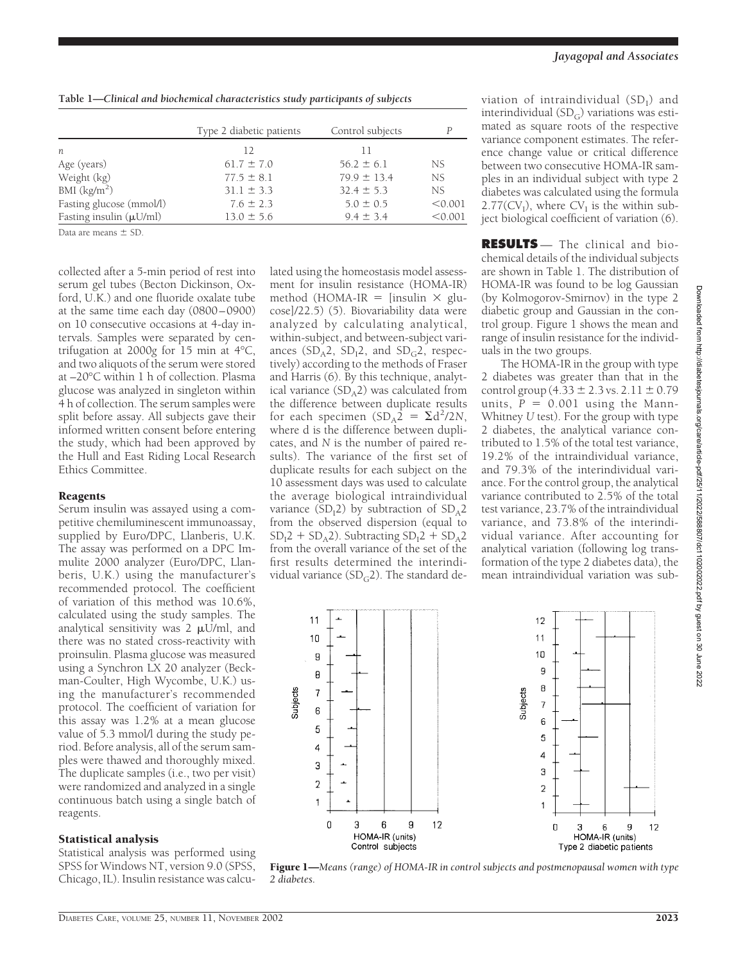|                              | Type 2 diabetic patients | Control subjects | P       |
|------------------------------|--------------------------|------------------|---------|
| n                            | 12                       | 11               |         |
| Age (years)                  | $61.7 \pm 7.0$           | $56.2 \pm 6.1$   | NS.     |
| Weight (kg)                  | $77.5 \pm 8.1$           | $79.9 \pm 13.4$  | NS.     |
| BMI $\frac{\text{kg}}{m^2}$  | $31.1 \pm 3.3$           | $32.4 \pm 5.3$   | NS.     |
| Fasting glucose (mmol/l)     | $7.6 \pm 2.3$            | $5.0 \pm 0.5$    | < 0.001 |
| Fasting insulin $(\mu U/ml)$ | $13.0 \pm 5.6$           | $9.4 \pm 3.4$    | < 0.001 |

Data are means  $\pm$  SD.

collected after a 5-min period of rest into serum gel tubes (Becton Dickinson, Oxford, U.K.) and one fluoride oxalate tube at the same time each day (0800–0900) on 10 consecutive occasions at 4-day intervals. Samples were separated by centrifugation at 2000*g* for 15 min at 4°C, and two aliquots of the serum were stored at –20°C within 1 h of collection. Plasma glucose was analyzed in singleton within 4 h of collection. The serum samples were split before assay. All subjects gave their informed written consent before entering the study, which had been approved by the Hull and East Riding Local Research Ethics Committee.

## Reagents

Serum insulin was assayed using a competitive chemiluminescent immunoassay, supplied by Euro/DPC, Llanberis, U.K. The assay was performed on a DPC Immulite 2000 analyzer (Euro/DPC, Llanberis, U.K.) using the manufacturer's recommended protocol. The coefficient of variation of this method was 10.6%, calculated using the study samples. The analytical sensitivity was  $2 \mu U/ml$ , and there was no stated cross-reactivity with proinsulin. Plasma glucose was measured using a Synchron LX 20 analyzer (Beckman-Coulter, High Wycombe, U.K.) using the manufacturer's recommended protocol. The coefficient of variation for this assay was 1.2% at a mean glucose value of 5.3 mmol/l during the study period. Before analysis, all of the serum samples were thawed and thoroughly mixed. The duplicate samples (i.e., two per visit) were randomized and analyzed in a single continuous batch using a single batch of reagents.

## Statistical analysis

Statistical analysis was performed using SPSS for Windows NT, version 9.0 (SPSS, Chicago, IL). Insulin resistance was calcu-

lated using the homeostasis model assessment for insulin resistance (HOMA-IR) method (HOMA-IR = [insulin  $\times$  glucose]/22.5) (5). Biovariability data were analyzed by calculating analytical, within-subject, and between-subject variances  $(SD_A2, SD_12, and SD_G2, respectively)$ tively) according to the methods of Fraser and Harris (6). By this technique, analytical variance  $(SD_A2)$  was calculated from the difference between duplicate results for each specimen  $(SD_A^2 = \Sigma d^2 / 2N$ , where d is the difference between duplicates, and *N* is the number of paired results). The variance of the first set of duplicate results for each subject on the 10 assessment days was used to calculate the average biological intraindividual variance  $(SD_12)$  by subtraction of  $SD_A2$ from the observed dispersion (equal to  $SD<sub>1</sub>2 + SD<sub>A</sub>2$ ). Subtracting  $SD<sub>1</sub>2 + SD<sub>A</sub>2$ from the overall variance of the set of the first results determined the interindividual variance ( $SD<sub>G</sub>2$ ). The standard de-

viation of intraindividual  $(SD<sub>I</sub>)$  and interindividual  $(SD_G)$  variations was estimated as square roots of the respective variance component estimates. The reference change value or critical difference between two consecutive HOMA-IR samples in an individual subject with type 2 diabetes was calculated using the formula  $2.77$ (CV<sub>I</sub>), where CV<sub>I</sub> is the within subject biological coefficient of variation (6).

**RESULTS** — The clinical and biochemical details of the individual subjects are shown in Table 1. The distribution of HOMA-IR was found to be log Gaussian (by Kolmogorov-Smirnov) in the type 2 diabetic group and Gaussian in the control group. Figure 1 shows the mean and range of insulin resistance for the individuals in the two groups.

The HOMA-IR in the group with type 2 diabetes was greater than that in the control group  $(4.33 \pm 2.3 \text{ vs. } 2.11 \pm 0.79)$ units,  $P = 0.001$  using the Mann-Whitney *U* test). For the group with type 2 diabetes, the analytical variance contributed to 1.5% of the total test variance, 19.2% of the intraindividual variance, and 79.3% of the interindividual variance. For the control group, the analytical variance contributed to 2.5% of the total test variance, 23.7% of the intraindividual variance, and 73.8% of the interindividual variance. After accounting for analytical variation (following log transformation of the type 2 diabetes data), the mean intraindividual variation was sub-



Figure 1—*Means (range) of HOMA-IR in control subjects and postmenopausal women with type 2 diabetes.*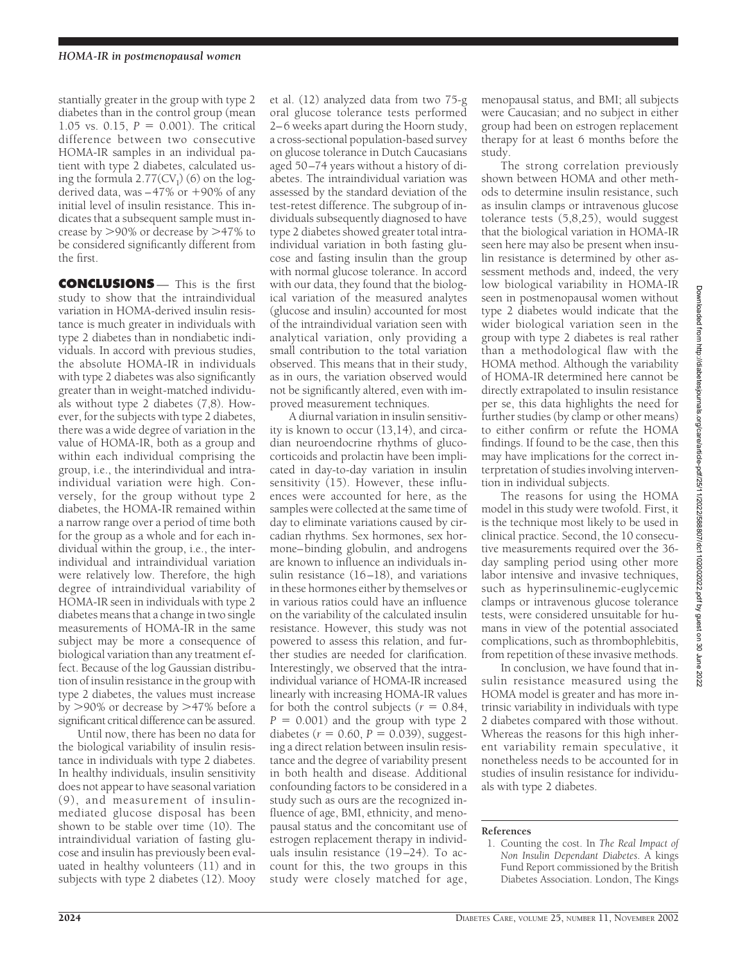stantially greater in the group with type 2 diabetes than in the control group (mean  $1.05$  vs.  $0.15$ ,  $P = 0.001$ ). The critical difference between two consecutive HOMA-IR samples in an individual patient with type 2 diabetes, calculated using the formula  $2.77$ (CV<sub>I</sub>) (6) on the logderived data, was  $-47\%$  or  $+90\%$  of any initial level of insulin resistance. This indicates that a subsequent sample must increase by  $>90\%$  or decrease by  $>47\%$  to be considered significantly different from the first.

**CONCLUSIONS** — This is the first study to show that the intraindividual variation in HOMA-derived insulin resistance is much greater in individuals with type 2 diabetes than in nondiabetic individuals. In accord with previous studies, the absolute HOMA-IR in individuals with type 2 diabetes was also significantly greater than in weight-matched individuals without type 2 diabetes (7,8). However, for the subjects with type 2 diabetes, there was a wide degree of variation in the value of HOMA-IR, both as a group and within each individual comprising the group, i.e., the interindividual and intraindividual variation were high. Conversely, for the group without type 2 diabetes, the HOMA-IR remained within a narrow range over a period of time both for the group as a whole and for each individual within the group, i.e., the interindividual and intraindividual variation were relatively low. Therefore, the high degree of intraindividual variability of HOMA-IR seen in individuals with type 2 diabetes means that a change in two single measurements of HOMA-IR in the same subject may be more a consequence of biological variation than any treatment effect. Because of the log Gaussian distribution of insulin resistance in the group with type 2 diabetes, the values must increase by  $>90\%$  or decrease by  $>47\%$  before a significant critical difference can be assured.

Until now, there has been no data for the biological variability of insulin resistance in individuals with type 2 diabetes. In healthy individuals, insulin sensitivity does not appear to have seasonal variation (9), and measurement of insulinmediated glucose disposal has been shown to be stable over time (10). The intraindividual variation of fasting glucose and insulin has previously been evaluated in healthy volunteers (11) and in subjects with type 2 diabetes (12). Mooy

et al. (12) analyzed data from two 75-g oral glucose tolerance tests performed 2–6 weeks apart during the Hoorn study, a cross-sectional population-based survey on glucose tolerance in Dutch Caucasians aged 50–74 years without a history of diabetes. The intraindividual variation was assessed by the standard deviation of the test-retest difference. The subgroup of individuals subsequently diagnosed to have type 2 diabetes showed greater total intraindividual variation in both fasting glucose and fasting insulin than the group with normal glucose tolerance. In accord with our data, they found that the biological variation of the measured analytes (glucose and insulin) accounted for most of the intraindividual variation seen with analytical variation, only providing a small contribution to the total variation observed. This means that in their study, as in ours, the variation observed would not be significantly altered, even with improved measurement techniques.

A diurnal variation in insulin sensitivity is known to occur (13,14), and circadian neuroendocrine rhythms of glucocorticoids and prolactin have been implicated in day-to-day variation in insulin sensitivity (15). However, these influences were accounted for here, as the samples were collected at the same time of day to eliminate variations caused by circadian rhythms. Sex hormones, sex hormone–binding globulin, and androgens are known to influence an individuals insulin resistance (16–18), and variations in these hormones either by themselves or in various ratios could have an influence on the variability of the calculated insulin resistance. However, this study was not powered to assess this relation, and further studies are needed for clarification. Interestingly, we observed that the intraindividual variance of HOMA-IR increased linearly with increasing HOMA-IR values for both the control subjects ( $r = 0.84$ ,  $P = 0.001$ ) and the group with type 2 diabetes ( $r = 0.60$ ,  $P = 0.039$ ), suggesting a direct relation between insulin resistance and the degree of variability present in both health and disease. Additional confounding factors to be considered in a study such as ours are the recognized influence of age, BMI, ethnicity, and menopausal status and the concomitant use of estrogen replacement therapy in individuals insulin resistance (19–24). To account for this, the two groups in this study were closely matched for age, menopausal status, and BMI; all subjects were Caucasian; and no subject in either group had been on estrogen replacement therapy for at least 6 months before the study.

The strong correlation previously shown between HOMA and other methods to determine insulin resistance, such as insulin clamps or intravenous glucose tolerance tests (5,8,25), would suggest that the biological variation in HOMA-IR seen here may also be present when insulin resistance is determined by other assessment methods and, indeed, the very low biological variability in HOMA-IR seen in postmenopausal women without type 2 diabetes would indicate that the wider biological variation seen in the group with type 2 diabetes is real rather than a methodological flaw with the HOMA method. Although the variability of HOMA-IR determined here cannot be directly extrapolated to insulin resistance per se, this data highlights the need for further studies (by clamp or other means) to either confirm or refute the HOMA findings. If found to be the case, then this may have implications for the correct interpretation of studies involving intervention in individual subjects.

The reasons for using the HOMA model in this study were twofold. First, it is the technique most likely to be used in clinical practice. Second, the 10 consecutive measurements required over the 36 day sampling period using other more labor intensive and invasive techniques, such as hyperinsulinemic-euglycemic clamps or intravenous glucose tolerance tests, were considered unsuitable for humans in view of the potential associated complications, such as thrombophlebitis, from repetition of these invasive methods.

In conclusion, we have found that insulin resistance measured using the HOMA model is greater and has more intrinsic variability in individuals with type 2 diabetes compared with those without. Whereas the reasons for this high inherent variability remain speculative, it nonetheless needs to be accounted for in studies of insulin resistance for individuals with type 2 diabetes.

### **References**

<sup>1.</sup> Counting the cost. In *The Real Impact of Non Insulin Dependant Diabetes*. A kings Fund Report commissioned by the British Diabetes Association. London, The Kings